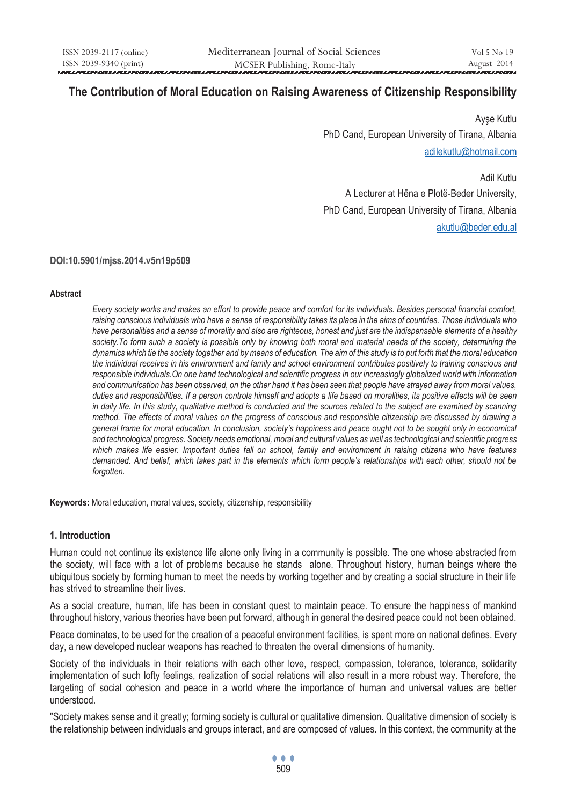# **The Contribution of Moral Education on Raising Awareness of Citizenship Responsibility**

Ayşe Kutlu PhD Cand, European University of Tirana, Albania adilekutlu@hotmail.com

Adil Kutlu A Lecturer at Hëna e Plotë-Beder University, PhD Cand, European University of Tirana, Albania akutlu@beder.edu.al

**DOI:10.5901/mjss.2014.v5n19p509** 

#### **Abstract**

*Every society works and makes an effort to provide peace and comfort for its individuals. Besides personal financial comfort, raising conscious individuals who have a sense of responsibility takes its place in the aims of countries. Those individuals who have personalities and a sense of morality and also are righteous, honest and just are the indispensable elements of a healthy*  society. To form such a society is possible only by knowing both moral and material needs of the society, determining the *dynamics which tie the society together and by means of education. The aim of this study is to put forth that the moral education the individual receives in his environment and family and school environment contributes positively to training conscious and responsible individuals.On one hand technological and scientific progress in our increasingly globalized world with information and communication has been observed, on the other hand it has been seen that people have strayed away from moral values, duties and responsibilities. If a person controls himself and adopts a life based on moralities, its positive effects will be seen in daily life. In this study, qualitative method is conducted and the sources related to the subject are examined by scanning method. The effects of moral values on the progress of conscious and responsible citizenship are discussed by drawing a general frame for moral education. In conclusion, society's happiness and peace ought not to be sought only in economical and technological progress. Society needs emotional, moral and cultural values as well as technological and scientific progress* which makes life easier. Important duties fall on school, family and environment in raising citizens who have features *demanded. And belief, which takes part in the elements which form people's relationships with each other, should not be forgotten.* 

**Keywords:** Moral education, moral values, society, citizenship, responsibility

#### **1. Introduction**

Human could not continue its existence life alone only living in a community is possible. The one whose abstracted from the society, will face with a lot of problems because he stands alone. Throughout history, human beings where the ubiquitous society by forming human to meet the needs by working together and by creating a social structure in their life has strived to streamline their lives.

As a social creature, human, life has been in constant quest to maintain peace. To ensure the happiness of mankind throughout history, various theories have been put forward, although in general the desired peace could not been obtained.

Peace dominates, to be used for the creation of a peaceful environment facilities, is spent more on national defines. Every day, a new developed nuclear weapons has reached to threaten the overall dimensions of humanity.

Society of the individuals in their relations with each other love, respect, compassion, tolerance, tolerance, solidarity implementation of such lofty feelings, realization of social relations will also result in a more robust way. Therefore, the targeting of social cohesion and peace in a world where the importance of human and universal values are better understood.

"Society makes sense and it greatly; forming society is cultural or qualitative dimension. Qualitative dimension of society is the relationship between individuals and groups interact, and are composed of values. In this context, the community at the

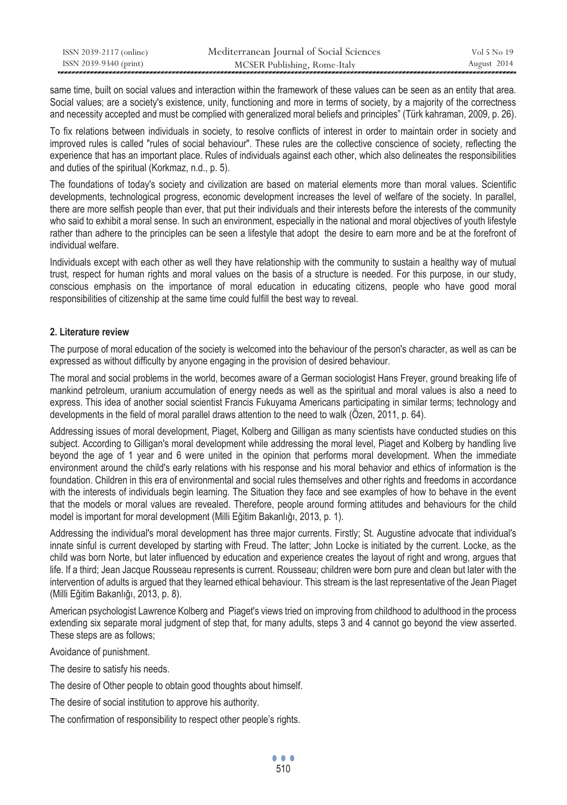| ISSN 2039-2117 (online) | Mediterranean Journal of Social Sciences | Vol 5 No 19 |
|-------------------------|------------------------------------------|-------------|
| ISSN 2039-9340 (print)  | MCSER Publishing, Rome-Italy             | August 2014 |

same time, built on social values and interaction within the framework of these values can be seen as an entity that area. Social values; are a society's existence, unity, functioning and more in terms of society, by a majority of the correctness and necessity accepted and must be complied with generalized moral beliefs and principles" (Türk kahraman, 2009, p. 26).

To fix relations between individuals in society, to resolve conflicts of interest in order to maintain order in society and improved rules is called "rules of social behaviour". These rules are the collective conscience of society, reflecting the experience that has an important place. Rules of individuals against each other, which also delineates the responsibilities and duties of the spiritual (Korkmaz, n.d., p. 5).

The foundations of today's society and civilization are based on material elements more than moral values. Scientific developments, technological progress, economic development increases the level of welfare of the society. In parallel, there are more selfish people than ever, that put their individuals and their interests before the interests of the community who said to exhibit a moral sense. In such an environment, especially in the national and moral objectives of youth lifestyle rather than adhere to the principles can be seen a lifestyle that adopt the desire to earn more and be at the forefront of individual welfare.

Individuals except with each other as well they have relationship with the community to sustain a healthy way of mutual trust, respect for human rights and moral values on the basis of a structure is needed. For this purpose, in our study, conscious emphasis on the importance of moral education in educating citizens, people who have good moral responsibilities of citizenship at the same time could fulfill the best way to reveal.

## **2. Literature review**

The purpose of moral education of the society is welcomed into the behaviour of the person's character, as well as can be expressed as without difficulty by anyone engaging in the provision of desired behaviour.

The moral and social problems in the world, becomes aware of a German sociologist Hans Freyer, ground breaking life of mankind petroleum, uranium accumulation of energy needs as well as the spiritual and moral values is also a need to express. This idea of another social scientist Francis Fukuyama Americans participating in similar terms; technology and developments in the field of moral parallel draws attention to the need to walk (Özen, 2011, p. 64).

Addressing issues of moral development, Piaget, Kolberg and Gilligan as many scientists have conducted studies on this subject. According to Gilligan's moral development while addressing the moral level, Piaget and Kolberg by handling live beyond the age of 1 year and 6 were united in the opinion that performs moral development. When the immediate environment around the child's early relations with his response and his moral behavior and ethics of information is the foundation. Children in this era of environmental and social rules themselves and other rights and freedoms in accordance with the interests of individuals begin learning. The Situation they face and see examples of how to behave in the event that the models or moral values are revealed. Therefore, people around forming attitudes and behaviours for the child model is important for moral development (Milli Eğitim Bakanlığı, 2013, p. 1).

Addressing the individual's moral development has three major currents. Firstly; St. Augustine advocate that individual's innate sinful is current developed by starting with Freud. The latter; John Locke is initiated by the current. Locke, as the child was born Norte, but later influenced by education and experience creates the layout of right and wrong, argues that life. If a third; Jean Jacque Rousseau represents is current. Rousseau; children were born pure and clean but later with the intervention of adults is argued that they learned ethical behaviour. This stream is the last representative of the Jean Piaget (Milli Eğitim Bakanlığı, 2013, p. 8).

American psychologist Lawrence Kolberg and Piaget's views tried on improving from childhood to adulthood in the process extending six separate moral judgment of step that, for many adults, steps 3 and 4 cannot go beyond the view asserted. These steps are as follows;

Avoidance of punishment.

The desire to satisfy his needs.

The desire of Other people to obtain good thoughts about himself.

The desire of social institution to approve his authority.

The confirmation of responsibility to respect other people's rights.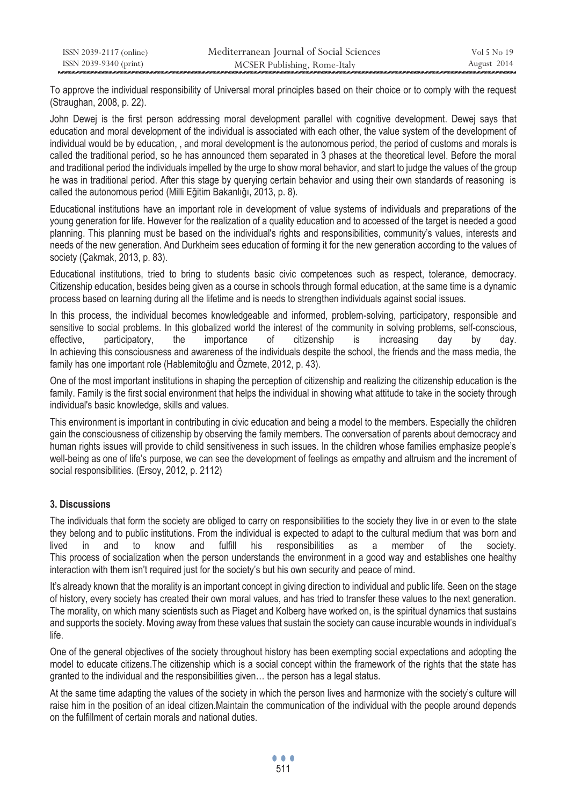To approve the individual responsibility of Universal moral principles based on their choice or to comply with the request (Straughan, 2008, p. 22).

John Dewei is the first person addressing moral development parallel with cognitive development. Dewei says that education and moral development of the individual is associated with each other, the value system of the development of individual would be by education, , and moral development is the autonomous period, the period of customs and morals is called the traditional period, so he has announced them separated in 3 phases at the theoretical level. Before the moral and traditional period the individuals impelled by the urge to show moral behavior, and start to judge the values of the group he was in traditional period. After this stage by querying certain behavior and using their own standards of reasoning is called the autonomous period (Milli Eğitim Bakanlığı, 2013, p. 8).

Educational institutions have an important role in development of value systems of individuals and preparations of the young generation for life. However for the realization of a quality education and to accessed of the target is needed a good planning. This planning must be based on the individual's rights and responsibilities, community's values, interests and needs of the new generation. And Durkheim sees education of forming it for the new generation according to the values of society (Çakmak, 2013, p. 83).

Educational institutions, tried to bring to students basic civic competences such as respect, tolerance, democracy. Citizenship education, besides being given as a course in schools through formal education, at the same time is a dynamic process based on learning during all the lifetime and is needs to strengthen individuals against social issues.

In this process, the individual becomes knowledgeable and informed, problem-solving, participatory, responsible and sensitive to social problems. In this globalized world the interest of the community in solving problems, self-conscious, effective, participatory, the importance of citizenship is increasing day by day. In achieving this consciousness and awareness of the individuals despite the school, the friends and the mass media, the family has one important role (Hablemitoğlu and Özmete, 2012, p. 43).

One of the most important institutions in shaping the perception of citizenship and realizing the citizenship education is the family. Family is the first social environment that helps the individual in showing what attitude to take in the society through individual's basic knowledge, skills and values.

This environment is important in contributing in civic education and being a model to the members. Especially the children gain the consciousness of citizenship by observing the family members. The conversation of parents about democracy and human rights issues will provide to child sensitiveness in such issues. In the children whose families emphasize people's well-being as one of life's purpose, we can see the development of feelings as empathy and altruism and the increment of social responsibilities. (Ersoy, 2012, p. 2112)

# **3. Discussions**

The individuals that form the society are obliged to carry on responsibilities to the society they live in or even to the state they belong and to public institutions. From the individual is expected to adapt to the cultural medium that was born and lived in and to know and fulfill his responsibilities as a member of the society. This process of socialization when the person understands the environment in a good way and establishes one healthy interaction with them isn't required just for the society's but his own security and peace of mind.

It's already known that the morality is an important concept in giving direction to individual and public life. Seen on the stage of history, every society has created their own moral values, and has tried to transfer these values to the next generation. The morality, on which many scientists such as Piaget and Kolberg have worked on, is the spiritual dynamics that sustains and supports the society. Moving away from these values that sustain the society can cause incurable wounds in individual's life.

One of the general objectives of the society throughout history has been exempting social expectations and adopting the model to educate citizens.The citizenship which is a social concept within the framework of the rights that the state has granted to the individual and the responsibilities given… the person has a legal status.

At the same time adapting the values of the society in which the person lives and harmonize with the society's culture will raise him in the position of an ideal citizen.Maintain the communication of the individual with the people around depends on the fulfillment of certain morals and national duties.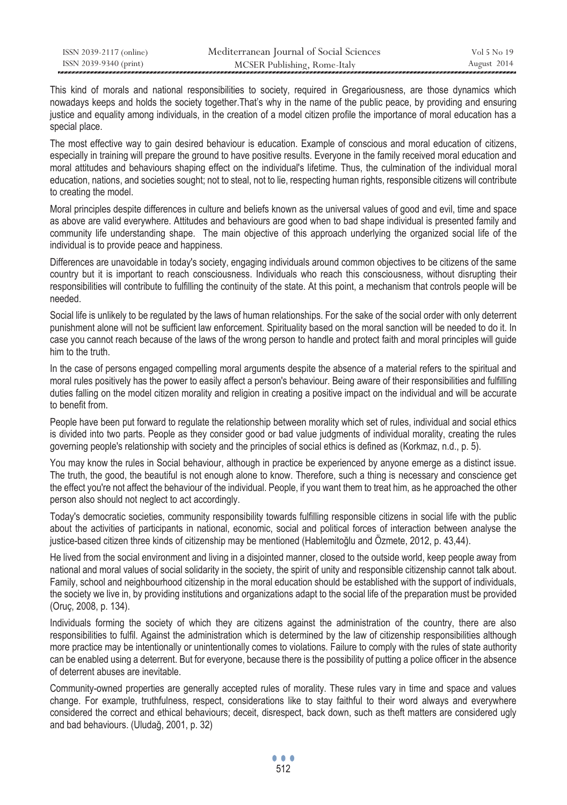| ISSN 2039-2117 (online) | Mediterranean Journal of Social Sciences | Vol 5 No 19 |
|-------------------------|------------------------------------------|-------------|
| ISSN 2039-9340 (print)  | MCSER Publishing, Rome-Italy             | August 2014 |

This kind of morals and national responsibilities to society, required in Gregariousness, are those dynamics which nowadays keeps and holds the society together.That's why in the name of the public peace, by providing and ensuring justice and equality among individuals, in the creation of a model citizen profile the importance of moral education has a special place.

The most effective way to gain desired behaviour is education. Example of conscious and moral education of citizens, especially in training will prepare the ground to have positive results. Everyone in the family received moral education and moral attitudes and behaviours shaping effect on the individual's lifetime. Thus, the culmination of the individual moral education, nations, and societies sought; not to steal, not to lie, respecting human rights, responsible citizens will contribute to creating the model.

Moral principles despite differences in culture and beliefs known as the universal values of good and evil, time and space as above are valid everywhere. Attitudes and behaviours are good when to bad shape individual is presented family and community life understanding shape. The main objective of this approach underlying the organized social life of the individual is to provide peace and happiness.

Differences are unavoidable in today's society, engaging individuals around common objectives to be citizens of the same country but it is important to reach consciousness. Individuals who reach this consciousness, without disrupting their responsibilities will contribute to fulfilling the continuity of the state. At this point, a mechanism that controls people will be needed.

Social life is unlikely to be regulated by the laws of human relationships. For the sake of the social order with only deterrent punishment alone will not be sufficient law enforcement. Spirituality based on the moral sanction will be needed to do it. In case you cannot reach because of the laws of the wrong person to handle and protect faith and moral principles will guide him to the truth.

In the case of persons engaged compelling moral arguments despite the absence of a material refers to the spiritual and moral rules positively has the power to easily affect a person's behaviour. Being aware of their responsibilities and fulfilling duties falling on the model citizen morality and religion in creating a positive impact on the individual and will be accurate to benefit from.

People have been put forward to regulate the relationship between morality which set of rules, individual and social ethics is divided into two parts. People as they consider good or bad value judgments of individual morality, creating the rules governing people's relationship with society and the principles of social ethics is defined as (Korkmaz, n.d., p. 5).

You may know the rules in Social behaviour, although in practice be experienced by anyone emerge as a distinct issue. The truth, the good, the beautiful is not enough alone to know. Therefore, such a thing is necessary and conscience get the effect you're not affect the behaviour of the individual. People, if you want them to treat him, as he approached the other person also should not neglect to act accordingly.

Today's democratic societies, community responsibility towards fulfilling responsible citizens in social life with the public about the activities of participants in national, economic, social and political forces of interaction between analyse the justice-based citizen three kinds of citizenship may be mentioned (Hablemitoğlu and Özmete, 2012, p. 43,44).

He lived from the social environment and living in a disjointed manner, closed to the outside world, keep people away from national and moral values of social solidarity in the society, the spirit of unity and responsible citizenship cannot talk about. Family, school and neighbourhood citizenship in the moral education should be established with the support of individuals, the society we live in, by providing institutions and organizations adapt to the social life of the preparation must be provided (Oruç, 2008, p. 134).

Individuals forming the society of which they are citizens against the administration of the country, there are also responsibilities to fulfil. Against the administration which is determined by the law of citizenship responsibilities although more practice may be intentionally or unintentionally comes to violations. Failure to comply with the rules of state authority can be enabled using a deterrent. But for everyone, because there is the possibility of putting a police officer in the absence of deterrent abuses are inevitable.

Community-owned properties are generally accepted rules of morality. These rules vary in time and space and values change. For example, truthfulness, respect, considerations like to stay faithful to their word always and everywhere considered the correct and ethical behaviours; deceit, disrespect, back down, such as theft matters are considered ugly and bad behaviours. (Uludağ, 2001, p. 32)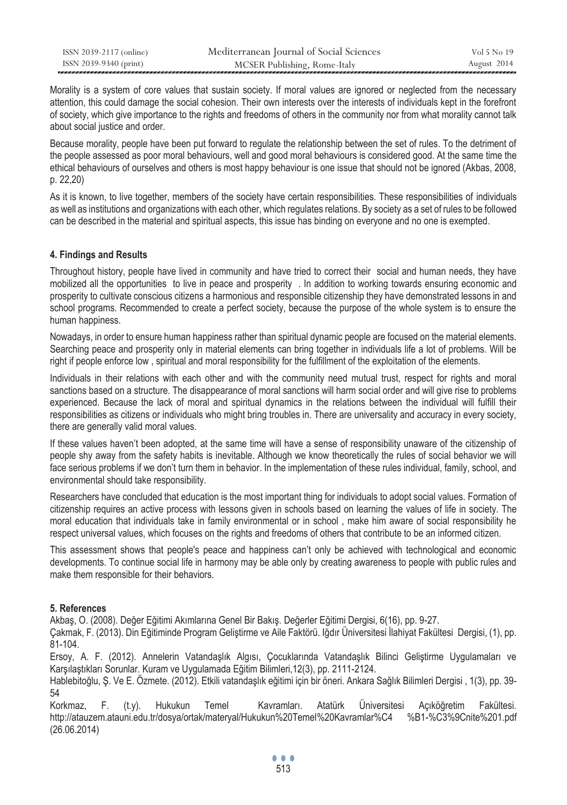| ISSN 2039-2117 (online) | Mediterranean Journal of Social Sciences | Vol 5 No 19 |
|-------------------------|------------------------------------------|-------------|
| ISSN 2039-9340 (print)  | MCSER Publishing, Rome-Italy             | August 2014 |

Morality is a system of core values that sustain society. If moral values are ignored or neglected from the necessary attention, this could damage the social cohesion. Their own interests over the interests of individuals kept in the forefront of society, which give importance to the rights and freedoms of others in the community nor from what morality cannot talk about social justice and order.

Because morality, people have been put forward to regulate the relationship between the set of rules. To the detriment of the people assessed as poor moral behaviours, well and good moral behaviours is considered good. At the same time the ethical behaviours of ourselves and others is most happy behaviour is one issue that should not be ignored (Akbas, 2008, p. 22,20)

As it is known, to live together, members of the society have certain responsibilities. These responsibilities of individuals as well as institutions and organizations with each other, which regulates relations. By society as a set of rules to be followed can be described in the material and spiritual aspects, this issue has binding on everyone and no one is exempted.

## **4. Findings and Results**

Throughout history, people have lived in community and have tried to correct their social and human needs, they have mobilized all the opportunities to live in peace and prosperity . In addition to working towards ensuring economic and prosperity to cultivate conscious citizens a harmonious and responsible citizenship they have demonstrated lessons in and school programs. Recommended to create a perfect society, because the purpose of the whole system is to ensure the human happiness.

Nowadays, in order to ensure human happiness rather than spiritual dynamic people are focused on the material elements. Searching peace and prosperity only in material elements can bring together in individuals life a lot of problems. Will be right if people enforce low , spiritual and moral responsibility for the fulfillment of the exploitation of the elements.

Individuals in their relations with each other and with the community need mutual trust, respect for rights and moral sanctions based on a structure. The disappearance of moral sanctions will harm social order and will give rise to problems experienced. Because the lack of moral and spiritual dynamics in the relations between the individual will fulfill their responsibilities as citizens or individuals who might bring troubles in. There are universality and accuracy in every society, there are generally valid moral values.

If these values haven't been adopted, at the same time will have a sense of responsibility unaware of the citizenship of people shy away from the safety habits is inevitable. Although we know theoretically the rules of social behavior we will face serious problems if we don't turn them in behavior. In the implementation of these rules individual, family, school, and environmental should take responsibility.

Researchers have concluded that education is the most important thing for individuals to adopt social values. Formation of citizenship requires an active process with lessons given in schools based on learning the values of life in society. The moral education that individuals take in family environmental or in school , make him aware of social responsibility he respect universal values, which focuses on the rights and freedoms of others that contribute to be an informed citizen.

This assessment shows that people's peace and happiness can't only be achieved with technological and economic developments. To continue social life in harmony may be able only by creating awareness to people with public rules and make them responsible for their behaviors.

#### **5. References**

Akbaş, O. (2008). Değer Eğitimi Akımlarına Genel Bir Bakış. Değerler Eğitimi Dergisi, 6(16), pp. 9-27.

Çakmak, F. (2013). Din Eğitiminde Program Geliştirme ve Aile Faktörü. Iğdır Üniversitesi İlahiyat Fakültesi Dergisi, (1), pp. 81-104.

Ersoy, A. F. (2012). Annelerin Vatandaşlık Algısı, Çocuklarında Vatandaşlık Bilinci Geliştirme Uygulamaları ve Karşılaştıkları Sorunlar. Kuram ve Uygulamada Eğitim Bilimleri,12(3), pp. 2111-2124.

Hablebitoğlu, Ş. Ve E. Özmete. (2012). Etkili vatandaşlık eğitimi için bir öneri. Ankara Sağlık Bilimleri Dergisi , 1(3), pp. 39- 54

Korkmaz, F. (t.y). Hukukun Temel Kavramları. Atatürk Üniversitesi Açıköğretim Fakültesi. http://atauzem.atauni.edu.tr/dosya/ortak/materyal/Hukukun%20Temel%20Kavramlar%C4 %B1-%C3%9Cnite%201.pdf (26.06.2014)